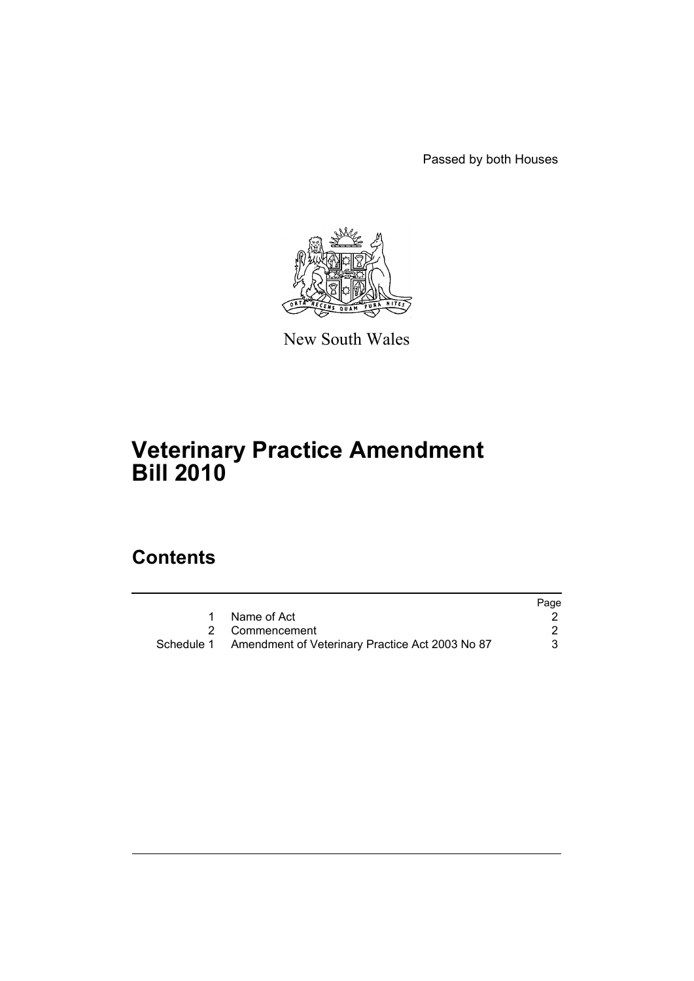Passed by both Houses



New South Wales

# **Veterinary Practice Amendment Bill 2010**

# **Contents**

|                                                            | Page |
|------------------------------------------------------------|------|
| Name of Act                                                |      |
| 2 Commencement                                             |      |
| Schedule 1 Amendment of Veterinary Practice Act 2003 No 87 | 3    |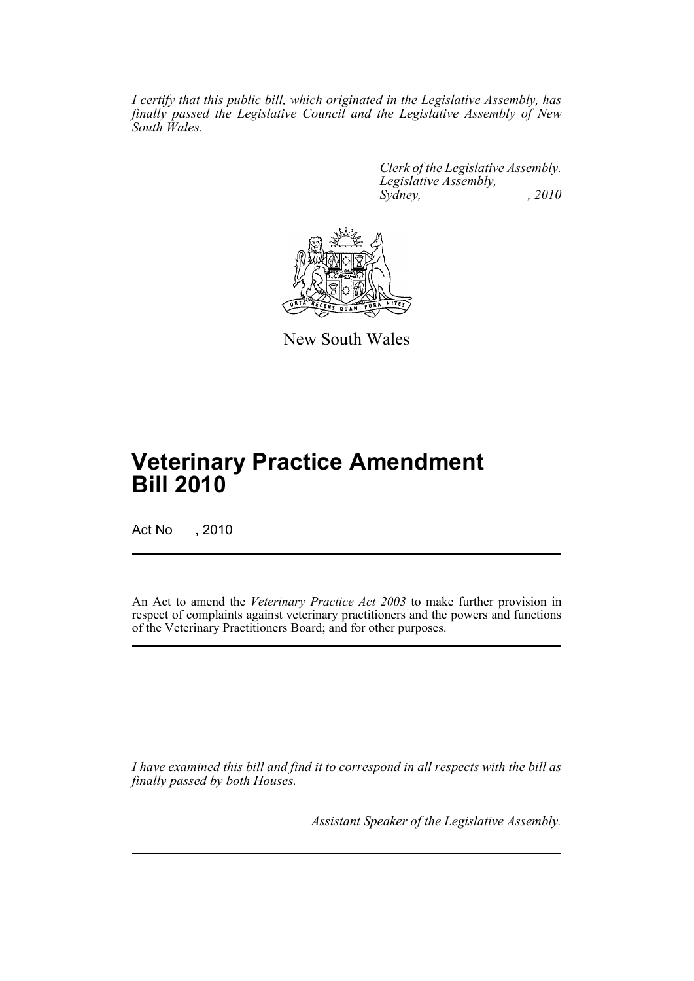*I certify that this public bill, which originated in the Legislative Assembly, has finally passed the Legislative Council and the Legislative Assembly of New South Wales.*

> *Clerk of the Legislative Assembly. Legislative Assembly, Sydney, , 2010*



New South Wales

# **Veterinary Practice Amendment Bill 2010**

Act No , 2010

An Act to amend the *Veterinary Practice Act 2003* to make further provision in respect of complaints against veterinary practitioners and the powers and functions of the Veterinary Practitioners Board; and for other purposes.

*I have examined this bill and find it to correspond in all respects with the bill as finally passed by both Houses.*

*Assistant Speaker of the Legislative Assembly.*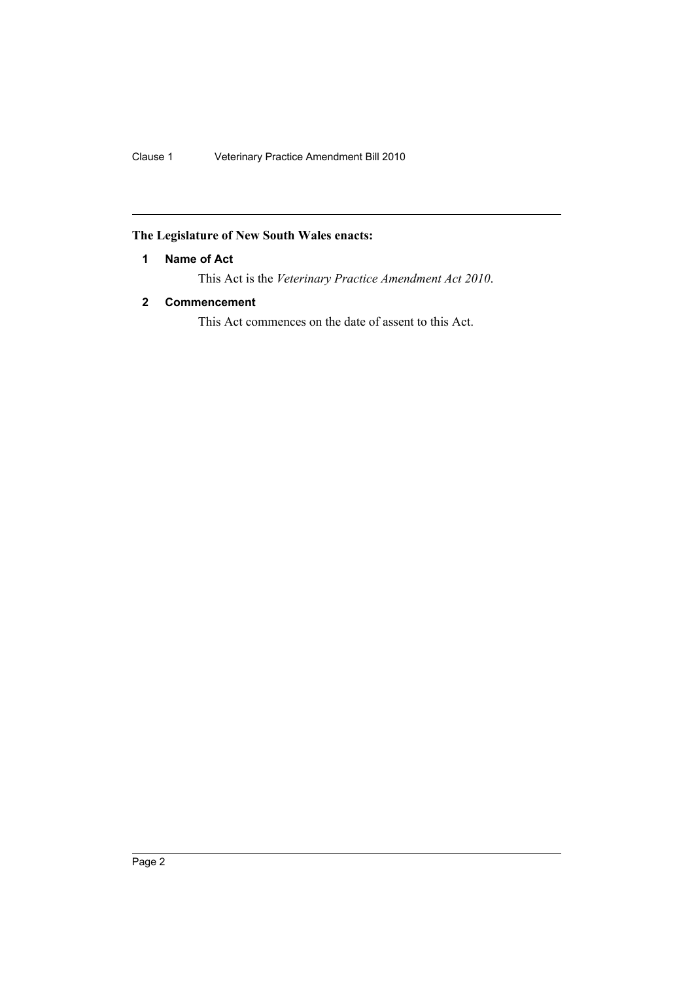# <span id="page-2-0"></span>**The Legislature of New South Wales enacts:**

# **1 Name of Act**

This Act is the *Veterinary Practice Amendment Act 2010*.

# <span id="page-2-1"></span>**2 Commencement**

This Act commences on the date of assent to this Act.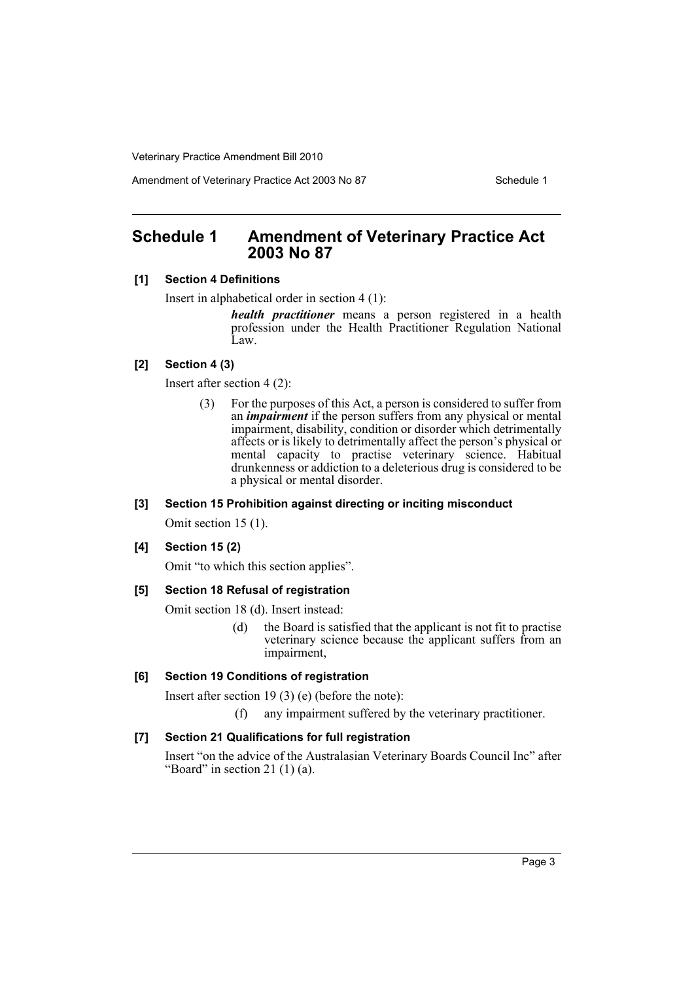Amendment of Veterinary Practice Act 2003 No 87 Schedule 1

# <span id="page-3-0"></span>**Schedule 1 Amendment of Veterinary Practice Act 2003 No 87**

#### **[1] Section 4 Definitions**

Insert in alphabetical order in section 4 (1):

*health practitioner* means a person registered in a health profession under the Health Practitioner Regulation National Law.

## **[2] Section 4 (3)**

Insert after section 4 (2):

(3) For the purposes of this Act, a person is considered to suffer from an *impairment* if the person suffers from any physical or mental impairment, disability, condition or disorder which detrimentally affects or is likely to detrimentally affect the person's physical or mental capacity to practise veterinary science. Habitual drunkenness or addiction to a deleterious drug is considered to be a physical or mental disorder.

## **[3] Section 15 Prohibition against directing or inciting misconduct**

Omit section 15 (1).

#### **[4] Section 15 (2)**

Omit "to which this section applies".

#### **[5] Section 18 Refusal of registration**

Omit section 18 (d). Insert instead:

(d) the Board is satisfied that the applicant is not fit to practise veterinary science because the applicant suffers from an impairment,

#### **[6] Section 19 Conditions of registration**

Insert after section 19 (3) (e) (before the note):

(f) any impairment suffered by the veterinary practitioner.

#### **[7] Section 21 Qualifications for full registration**

Insert "on the advice of the Australasian Veterinary Boards Council Inc" after "Board" in section 21 $(1)$  $(a)$ .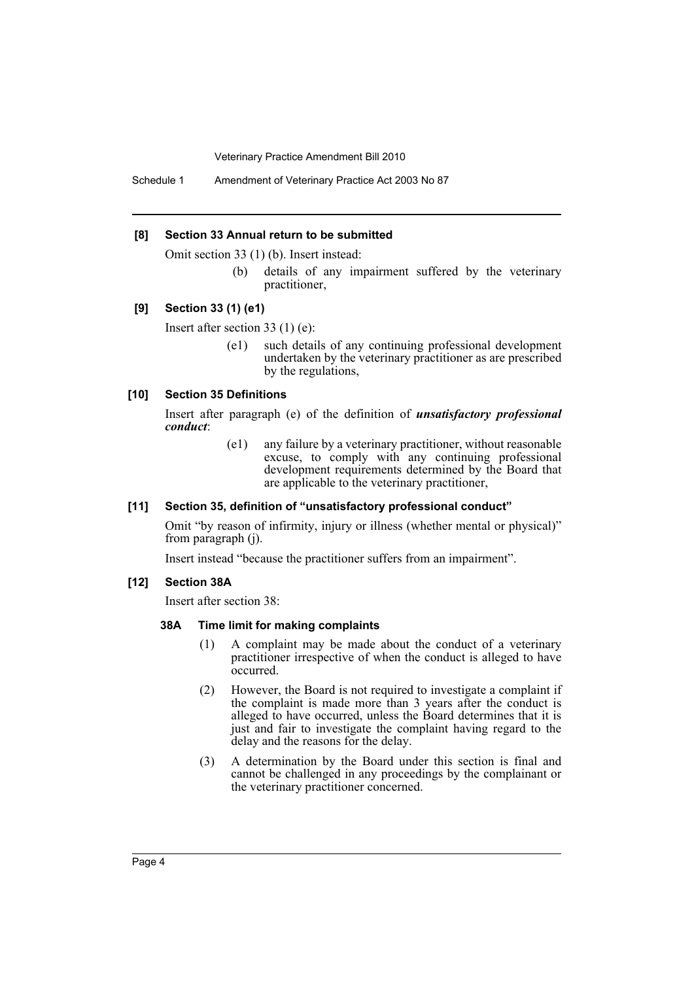Schedule 1 Amendment of Veterinary Practice Act 2003 No 87

#### **[8] Section 33 Annual return to be submitted**

Omit section 33 (1) (b). Insert instead:

(b) details of any impairment suffered by the veterinary practitioner,

#### **[9] Section 33 (1) (e1)**

Insert after section 33 (1) (e):

(e1) such details of any continuing professional development undertaken by the veterinary practitioner as are prescribed by the regulations,

#### **[10] Section 35 Definitions**

Insert after paragraph (e) of the definition of *unsatisfactory professional conduct*:

> (e1) any failure by a veterinary practitioner, without reasonable excuse, to comply with any continuing professional development requirements determined by the Board that are applicable to the veterinary practitioner,

#### **[11] Section 35, definition of "unsatisfactory professional conduct"**

Omit "by reason of infirmity, injury or illness (whether mental or physical)" from paragraph (j).

Insert instead "because the practitioner suffers from an impairment".

#### **[12] Section 38A**

Insert after section 38:

#### **38A Time limit for making complaints**

- (1) A complaint may be made about the conduct of a veterinary practitioner irrespective of when the conduct is alleged to have occurred.
- (2) However, the Board is not required to investigate a complaint if the complaint is made more than 3 years after the conduct is alleged to have occurred, unless the Board determines that it is just and fair to investigate the complaint having regard to the delay and the reasons for the delay.
- (3) A determination by the Board under this section is final and cannot be challenged in any proceedings by the complainant or the veterinary practitioner concerned.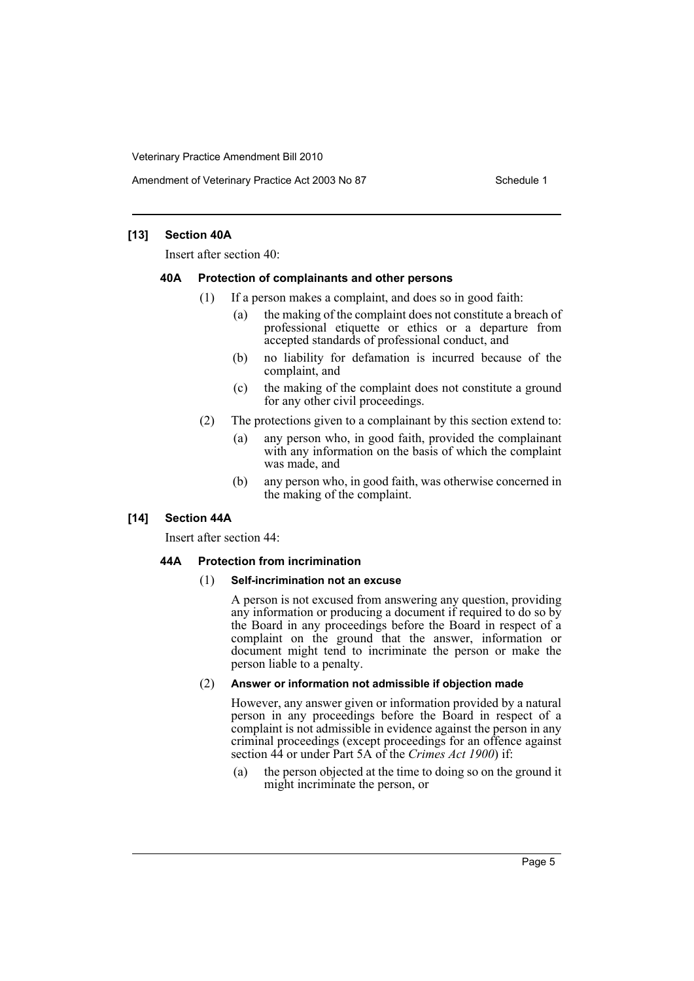Amendment of Veterinary Practice Act 2003 No 87 Schedule 1

#### **[13] Section 40A**

Insert after section 40:

#### **40A Protection of complainants and other persons**

- (1) If a person makes a complaint, and does so in good faith:
	- (a) the making of the complaint does not constitute a breach of professional etiquette or ethics or a departure from accepted standards of professional conduct, and
	- (b) no liability for defamation is incurred because of the complaint, and
	- (c) the making of the complaint does not constitute a ground for any other civil proceedings.
- (2) The protections given to a complainant by this section extend to:
	- (a) any person who, in good faith, provided the complainant with any information on the basis of which the complaint was made, and
	- (b) any person who, in good faith, was otherwise concerned in the making of the complaint.

#### **[14] Section 44A**

Insert after section 44:

#### **44A Protection from incrimination**

#### (1) **Self-incrimination not an excuse**

A person is not excused from answering any question, providing any information or producing a document if required to do so by the Board in any proceedings before the Board in respect of a complaint on the ground that the answer, information or document might tend to incriminate the person or make the person liable to a penalty.

#### (2) **Answer or information not admissible if objection made**

However, any answer given or information provided by a natural person in any proceedings before the Board in respect of a complaint is not admissible in evidence against the person in any criminal proceedings (except proceedings for an offence against section 44 or under Part 5A of the *Crimes Act 1900*) if:

(a) the person objected at the time to doing so on the ground it might incriminate the person, or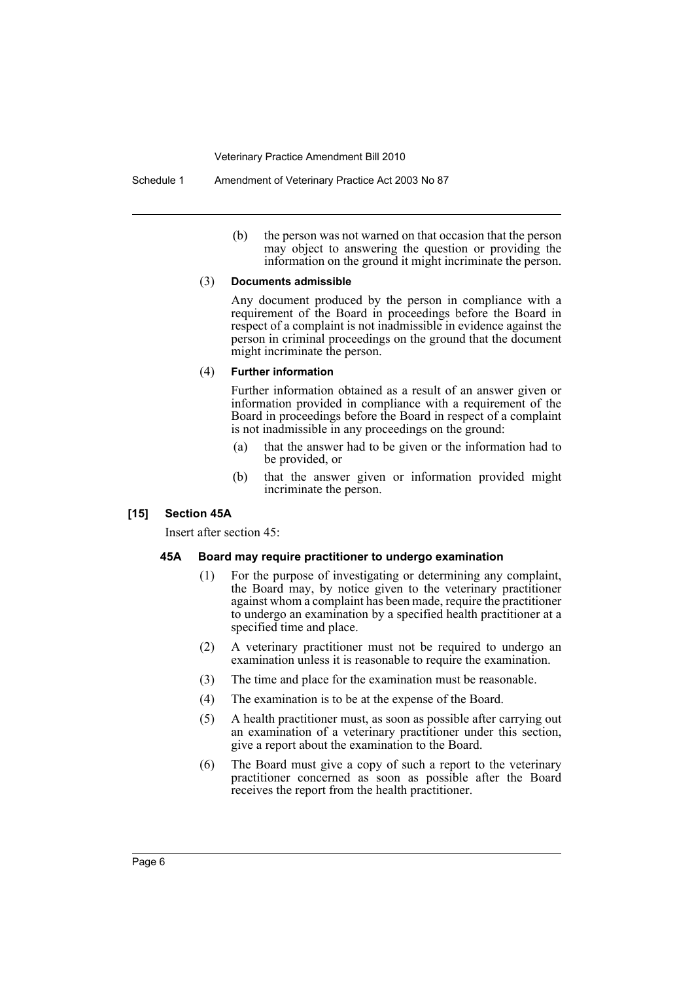(b) the person was not warned on that occasion that the person may object to answering the question or providing the information on the ground it might incriminate the person.

#### (3) **Documents admissible**

Any document produced by the person in compliance with a requirement of the Board in proceedings before the Board in respect of a complaint is not inadmissible in evidence against the person in criminal proceedings on the ground that the document might incriminate the person.

#### (4) **Further information**

Further information obtained as a result of an answer given or information provided in compliance with a requirement of the Board in proceedings before the Board in respect of a complaint is not inadmissible in any proceedings on the ground:

- (a) that the answer had to be given or the information had to be provided, or
- (b) that the answer given or information provided might incriminate the person.

#### **[15] Section 45A**

Insert after section 45:

#### **45A Board may require practitioner to undergo examination**

- (1) For the purpose of investigating or determining any complaint, the Board may, by notice given to the veterinary practitioner against whom a complaint has been made, require the practitioner to undergo an examination by a specified health practitioner at a specified time and place.
- (2) A veterinary practitioner must not be required to undergo an examination unless it is reasonable to require the examination.
- (3) The time and place for the examination must be reasonable.
- (4) The examination is to be at the expense of the Board.
- (5) A health practitioner must, as soon as possible after carrying out an examination of a veterinary practitioner under this section, give a report about the examination to the Board.
- (6) The Board must give a copy of such a report to the veterinary practitioner concerned as soon as possible after the Board receives the report from the health practitioner.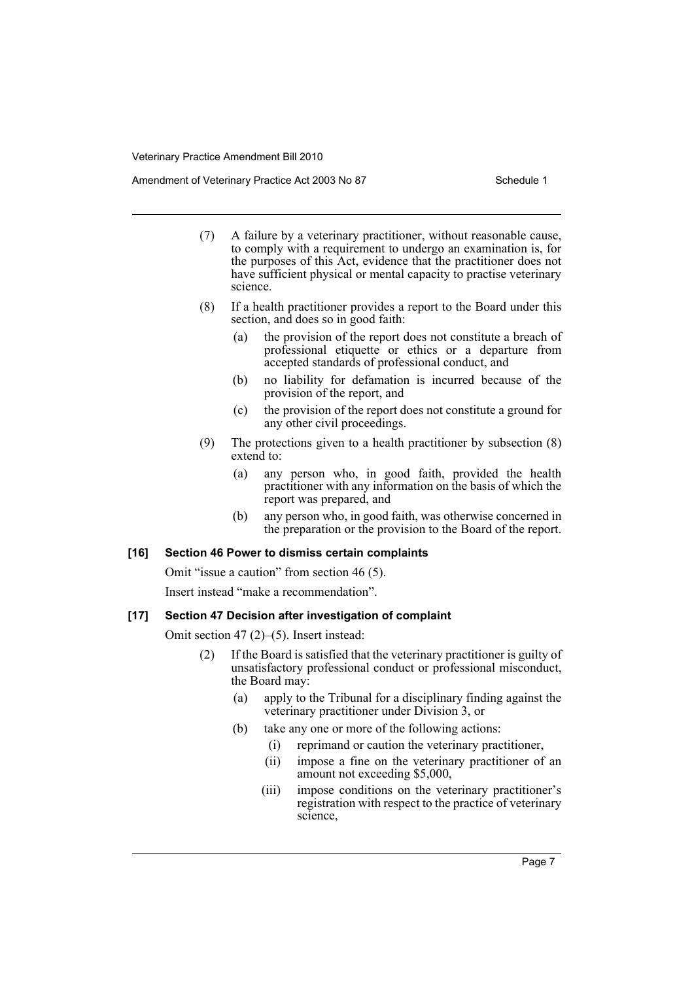Amendment of Veterinary Practice Act 2003 No 87 Schedule 1

- (7) A failure by a veterinary practitioner, without reasonable cause, to comply with a requirement to undergo an examination is, for the purposes of this Act, evidence that the practitioner does not have sufficient physical or mental capacity to practise veterinary science.
- (8) If a health practitioner provides a report to the Board under this section, and does so in good faith:
	- (a) the provision of the report does not constitute a breach of professional etiquette or ethics or a departure from accepted standards of professional conduct, and
	- (b) no liability for defamation is incurred because of the provision of the report, and
	- (c) the provision of the report does not constitute a ground for any other civil proceedings.
- (9) The protections given to a health practitioner by subsection (8) extend to:
	- (a) any person who, in good faith, provided the health practitioner with any information on the basis of which the report was prepared, and
	- (b) any person who, in good faith, was otherwise concerned in the preparation or the provision to the Board of the report.

#### **[16] Section 46 Power to dismiss certain complaints**

Omit "issue a caution" from section 46 (5).

Insert instead "make a recommendation".

#### **[17] Section 47 Decision after investigation of complaint**

Omit section 47 (2)–(5). Insert instead:

- (2) If the Board is satisfied that the veterinary practitioner is guilty of unsatisfactory professional conduct or professional misconduct, the Board may:
	- (a) apply to the Tribunal for a disciplinary finding against the veterinary practitioner under Division 3, or
	- (b) take any one or more of the following actions:
		- (i) reprimand or caution the veterinary practitioner,
		- (ii) impose a fine on the veterinary practitioner of an amount not exceeding \$5,000,
		- (iii) impose conditions on the veterinary practitioner's registration with respect to the practice of veterinary science,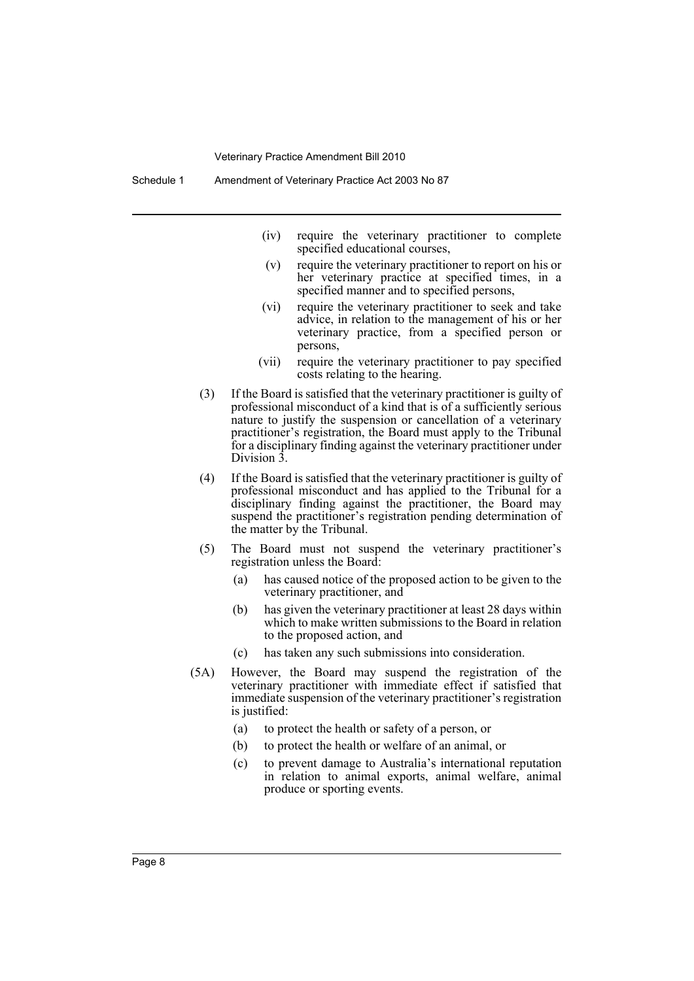Schedule 1 Amendment of Veterinary Practice Act 2003 No 87

- (iv) require the veterinary practitioner to complete specified educational courses,
- (v) require the veterinary practitioner to report on his or her veterinary practice at specified times, in a specified manner and to specified persons,
- (vi) require the veterinary practitioner to seek and take advice, in relation to the management of his or her veterinary practice, from a specified person or persons,
- (vii) require the veterinary practitioner to pay specified costs relating to the hearing.
- (3) If the Board is satisfied that the veterinary practitioner is guilty of professional misconduct of a kind that is of a sufficiently serious nature to justify the suspension or cancellation of a veterinary practitioner's registration, the Board must apply to the Tribunal for a disciplinary finding against the veterinary practitioner under Division 3.
- (4) If the Board is satisfied that the veterinary practitioner is guilty of professional misconduct and has applied to the Tribunal for a disciplinary finding against the practitioner, the Board may suspend the practitioner's registration pending determination of the matter by the Tribunal.
- (5) The Board must not suspend the veterinary practitioner's registration unless the Board:
	- (a) has caused notice of the proposed action to be given to the veterinary practitioner, and
	- (b) has given the veterinary practitioner at least 28 days within which to make written submissions to the Board in relation to the proposed action, and
	- (c) has taken any such submissions into consideration.
- (5A) However, the Board may suspend the registration of the veterinary practitioner with immediate effect if satisfied that immediate suspension of the veterinary practitioner's registration is justified:
	- (a) to protect the health or safety of a person, or
	- (b) to protect the health or welfare of an animal, or
	- (c) to prevent damage to Australia's international reputation in relation to animal exports, animal welfare, animal produce or sporting events.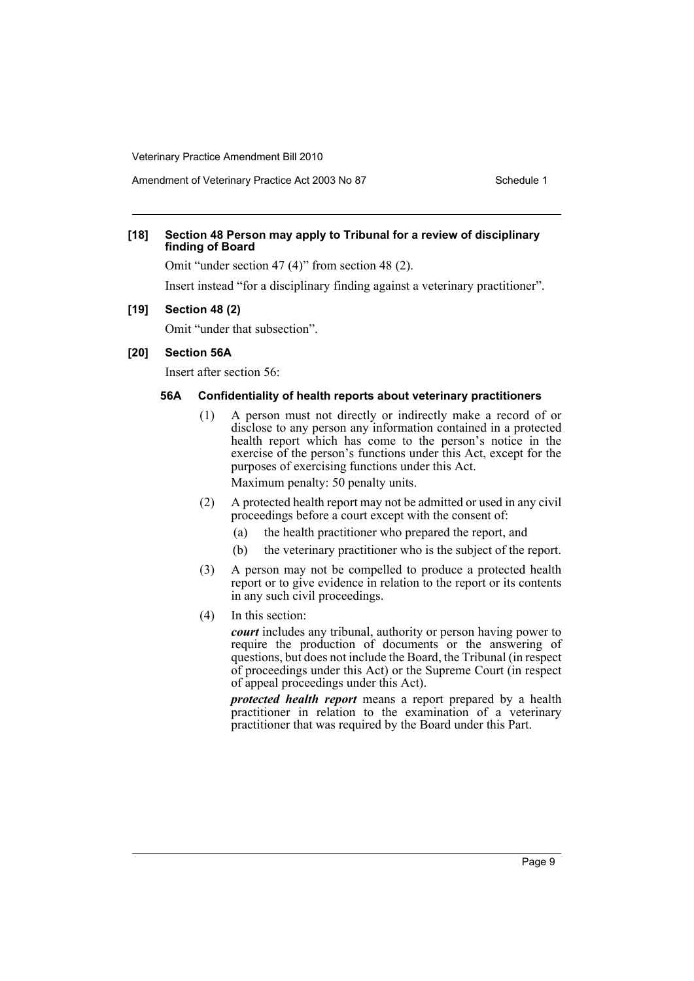#### **[18] Section 48 Person may apply to Tribunal for a review of disciplinary finding of Board**

Omit "under section 47 (4)" from section 48 (2).

Insert instead "for a disciplinary finding against a veterinary practitioner".

#### **[19] Section 48 (2)**

Omit "under that subsection".

#### **[20] Section 56A**

Insert after section 56:

#### **56A Confidentiality of health reports about veterinary practitioners**

- (1) A person must not directly or indirectly make a record of or disclose to any person any information contained in a protected health report which has come to the person's notice in the exercise of the person's functions under this Act, except for the purposes of exercising functions under this Act. Maximum penalty: 50 penalty units.
- (2) A protected health report may not be admitted or used in any civil proceedings before a court except with the consent of:
	- (a) the health practitioner who prepared the report, and
	- (b) the veterinary practitioner who is the subject of the report.
- (3) A person may not be compelled to produce a protected health report or to give evidence in relation to the report or its contents in any such civil proceedings.
- (4) In this section:

*court* includes any tribunal, authority or person having power to require the production of documents or the answering of questions, but does not include the Board, the Tribunal (in respect of proceedings under this Act) or the Supreme Court (in respect of appeal proceedings under this Act).

*protected health report* means a report prepared by a health practitioner in relation to the examination of a veterinary practitioner that was required by the Board under this Part.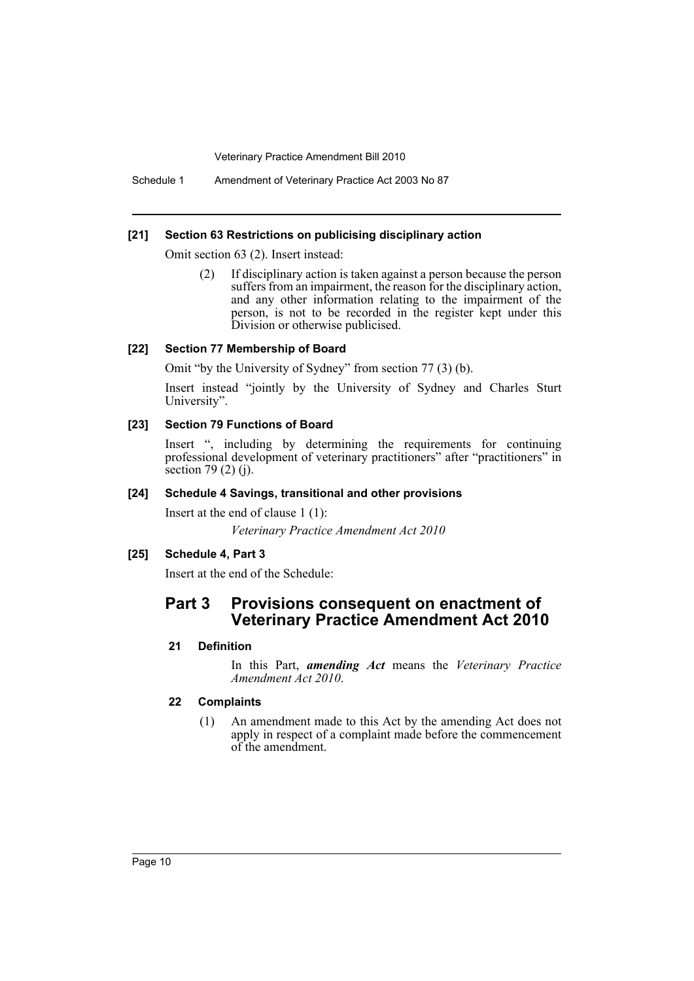Schedule 1 Amendment of Veterinary Practice Act 2003 No 87

#### **[21] Section 63 Restrictions on publicising disciplinary action**

Omit section 63 (2). Insert instead:

(2) If disciplinary action is taken against a person because the person suffers from an impairment, the reason for the disciplinary action, and any other information relating to the impairment of the person, is not to be recorded in the register kept under this Division or otherwise publicised.

#### **[22] Section 77 Membership of Board**

Omit "by the University of Sydney" from section 77 (3) (b).

Insert instead "jointly by the University of Sydney and Charles Sturt University".

#### **[23] Section 79 Functions of Board**

Insert ", including by determining the requirements for continuing professional development of veterinary practitioners" after "practitioners" in section 79 (2) (j).

#### **[24] Schedule 4 Savings, transitional and other provisions**

Insert at the end of clause 1 (1): *Veterinary Practice Amendment Act 2010*

## **[25] Schedule 4, Part 3**

Insert at the end of the Schedule:

# **Part 3 Provisions consequent on enactment of Veterinary Practice Amendment Act 2010**

## **21 Definition**

In this Part, *amending Act* means the *Veterinary Practice Amendment Act 2010*.

## **22 Complaints**

(1) An amendment made to this Act by the amending Act does not apply in respect of a complaint made before the commencement of the amendment.